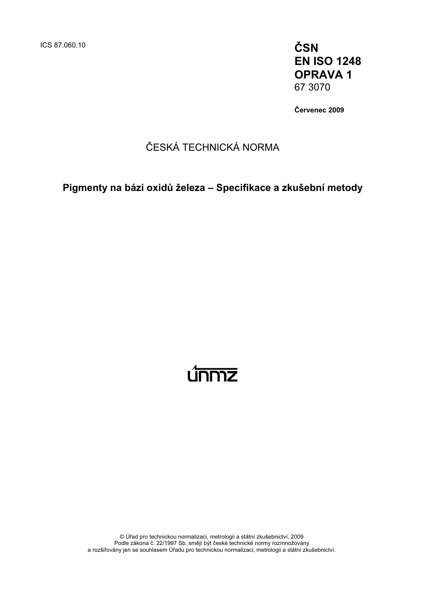ICS 87.060.10 **ČSN** 

**EN ISO 1248 OPRAVA 1**  67 3070

**Červenec 2009** 

## ČESKÁ TECHNICKÁ NORMA

## **Pigmenty na bázi oxidů železa – Specifikace a zkušební metody**

# <u>únmz</u>

© Úřad pro technickou normalizaci, metrologii a státní zkušebnictví, 2009 Podle zákona č. 22/1997 Sb. smějí být české technické normy rozmnožovány a rozšiřovány jen se souhlasem Úřadu pro technickou normalizaci, metrologii a státní zkušebnictví.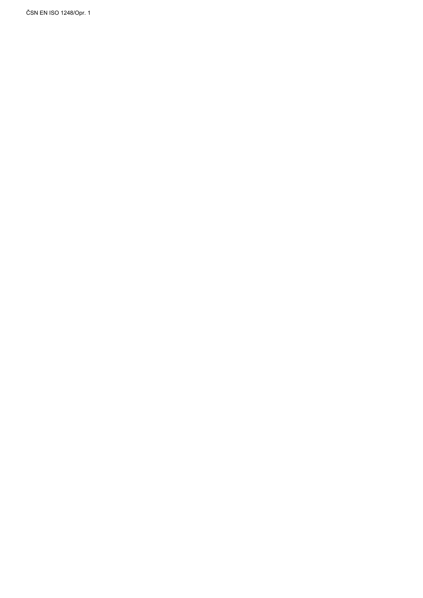ČSN EN ISO 1248/Opr. 1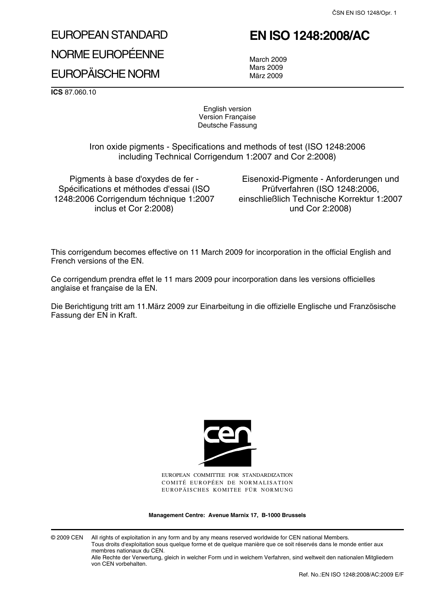# EUROPEAN STANDARD

## NORME EUROPÉENNE EUROPÄISCHE NORM

# **EN ISO 1248:2008/AC**

March 2009 Mars 2009 März 2009

**ICS** 87.060.10

English version Version Française Deutsche Fassung

Iron oxide pigments - Specifications and methods of test (ISO 1248:2006 including Technical Corrigendum 1:2007 and Cor 2:2008)

Pigments à base d'oxydes de fer - Spécifications et méthodes d'essai (ISO 1248:2006 Corrigendum téchnique 1:2007 inclus et Cor 2:2008)

Eisenoxid-Pigmente - Anforderungen und Prüfverfahren (ISO 1248:2006, einschließlich Technische Korrektur 1:2007 und Cor 2:2008)

This corrigendum becomes effective on 11 March 2009 for incorporation in the official English and French versions of the EN.

Ce corrigendum prendra effet le 11 mars 2009 pour incorporation dans les versions officielles anglaise et française de la EN.

Die Berichtigung tritt am 11.März 2009 zur Einarbeitung in die offizielle Englische und Französische Fassung der EN in Kraft.



EUROPEAN COMMITTEE FOR STANDARDIZATION COMITÉ EUROPÉEN DE NORMALISATION EUROPÄISCHES KOMITEE FÜR NORMUNG

**Management Centre: Avenue Marnix 17, B-1000 Brussels**

© 2009 CEN All rights of exploitation in any form and by any means reserved worldwide for CEN national Members. Tous droits d'exploitation sous quelque forme et de quelque manière que ce soit réservés dans le monde entier aux membres nationaux du CEN. Alle Rechte der Verwertung, gleich in welcher Form und in welchem Verfahren, sind weltweit den nationalen Mitgliedern

von CEN vorbehalten.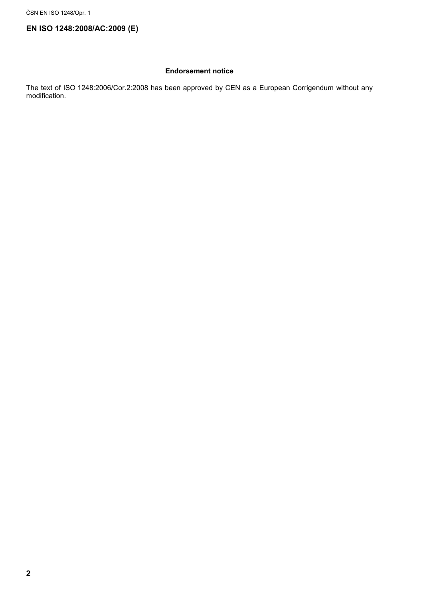ČSN EN ISO 1248/Opr. 1

## **EN ISO 1248:2008/AC:2009 (E)**

### **Endorsement notice**

The text of ISO 1248:2006/Cor.2:2008 has been approved by CEN as a European Corrigendum without any modification.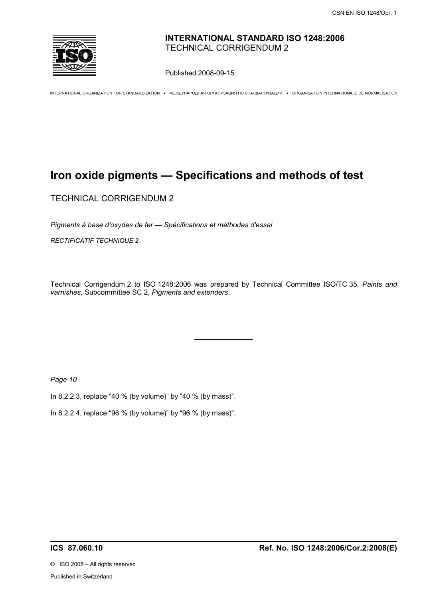

### **INTERNATIONAL STANDARD ISO 1248:2006**  TECHNICAL CORRIGENDUM 2

Published 2008-09-15

INTERNATIONAL ORGANIZATION FOR STANDARDIZATION • МЕЖДУНАРОДНАЯ ОРГАНИЗАЦИЯ ПО СТАНДАРТИЗАЦИИ • ORGANISATION INTERNATIONALE DE NORMALISATION

## **Iron oxide pigments — Specifications and methods of test**

TECHNICAL CORRIGENDUM 2

*Pigments à base d'oxydes de fer — Spécifications et méthodes d'essai*

*RECTIFICATIF TECHNIQUE 2*

Technical Corrigendum 2 to ISO 1248:2006 was prepared by Technical Committee ISO/TC 35, *Paints and varnishes*, Subcommittee SC 2, *Pigments and extenders*.

 $\overline{a}$ 

*Page 10* 

In 8.2.2.3, replace "40 % (by volume)" by "40 % (by mass)".

In 8.2.2.4, replace "96 % (by volume)" by "96 % (by mass)".

**ICS 87.060.10 Ref. No. ISO 1248:2006/Cor.2:2008(E)**

©ISO 2008 – All rights reserved